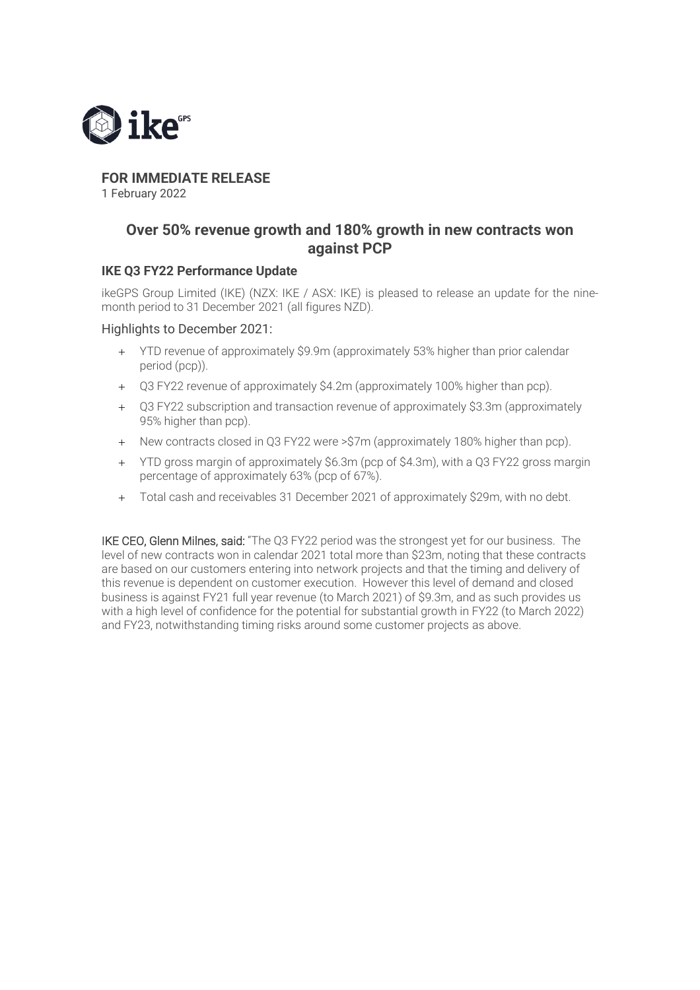

# **FOR IMMEDIATE RELEASE**

1 February 2022

## **Over 50% revenue growth and 180% growth in new contracts won against PCP**

### **IKE Q3 FY22 Performance Update**

ikeGPS Group Limited (IKE) (NZX: IKE / ASX: IKE) is pleased to release an update for the ninemonth period to 31 December 2021 (all figures NZD).

#### Highlights to December 2021:

- + YTD revenue of approximately \$9.9m (approximately 53% higher than prior calendar period (pcp)).
- + Q3 FY22 revenue of approximately \$4.2m (approximately 100% higher than pcp).
- + Q3 FY22 subscription and transaction revenue of approximately \$3.3m (approximately 95% higher than pcp).
- + New contracts closed in Q3 FY22 were >\$7m (approximately 180% higher than pcp).
- + YTD gross margin of approximately \$6.3m (pcp of \$4.3m), with a Q3 FY22 gross margin percentage of approximately 63% (pcp of 67%).
- + Total cash and receivables 31 December 2021 of approximately \$29m, with no debt.

IKE CEO, Glenn Milnes, said: "The Q3 FY22 period was the strongest yet for our business. The level of new contracts won in calendar 2021 total more than \$23m, noting that these contracts are based on our customers entering into network projects and that the timing and delivery of this revenue is dependent on customer execution. However this level of demand and closed business is against FY21 full year revenue (to March 2021) of \$9.3m, and as such provides us with a high level of confidence for the potential for substantial growth in FY22 (to March 2022) and FY23, notwithstanding timing risks around some customer projects as above.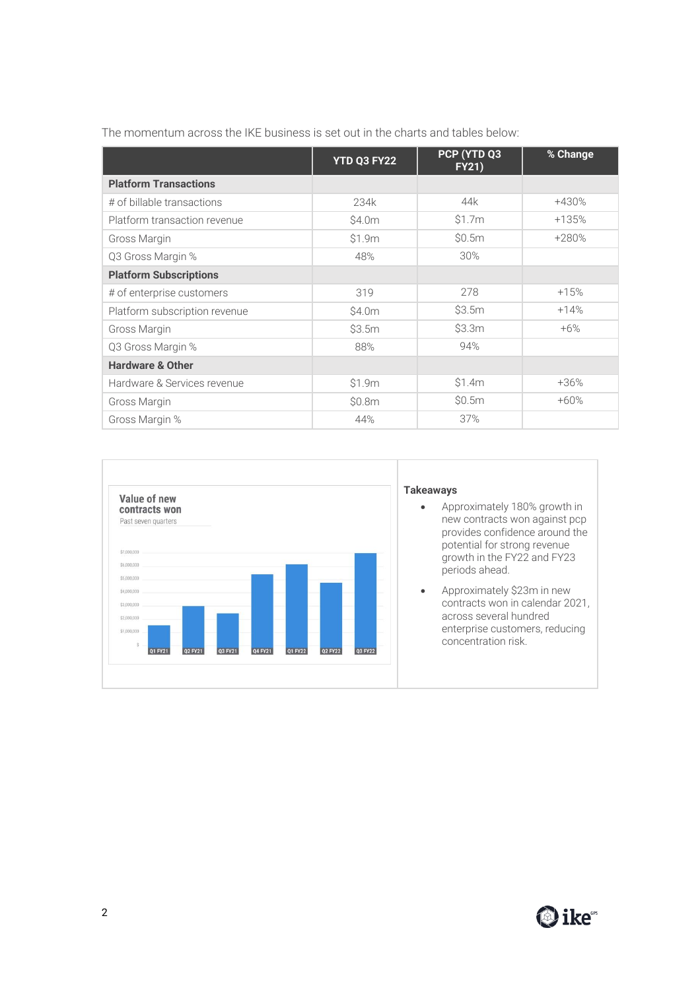|  |  | The momentum across the IKE business is set out in the charts and tables below: |
|--|--|---------------------------------------------------------------------------------|
|  |  |                                                                                 |

|                               | YTD Q3 FY22 | PCP (YTD Q3<br><b>FY21)</b> | % Change |
|-------------------------------|-------------|-----------------------------|----------|
| <b>Platform Transactions</b>  |             |                             |          |
| # of billable transactions    | 234k        | 44k                         | +430%    |
| Platform transaction revenue  | \$4.0m      | \$1.7m                      | $+135%$  |
| Gross Margin                  | \$1.9m      | \$0.5m                      | +280%    |
| Q3 Gross Margin %             | 48%         | 30%                         |          |
| <b>Platform Subscriptions</b> |             |                             |          |
| # of enterprise customers     | 319         | 278                         | $+15%$   |
| Platform subscription revenue | \$4.0m      | \$3.5m                      | $+14%$   |
| Gross Margin                  | \$3.5m      | \$3.3m                      | $+6%$    |
| Q3 Gross Margin %             | 88%         | 94%                         |          |
| <b>Hardware &amp; Other</b>   |             |                             |          |
| Hardware & Services revenue   | \$1.9m      | \$1.4m                      | $+36%$   |
| Gross Margin                  | \$0.8m      | \$0.5m                      | $+60%$   |
| Gross Margin %                | 44%         | 37%                         |          |

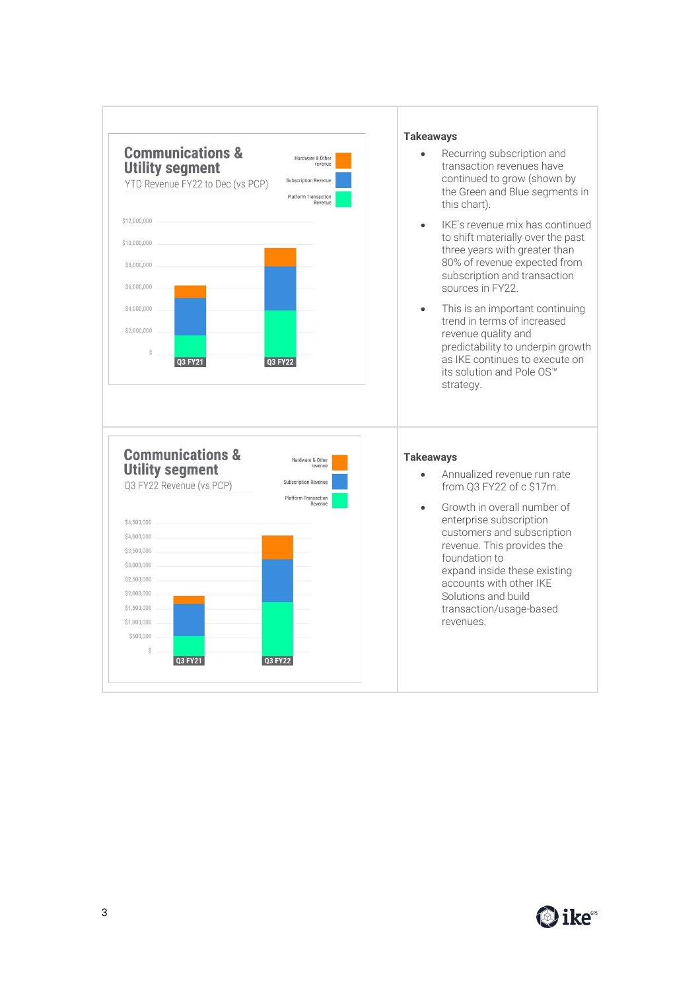

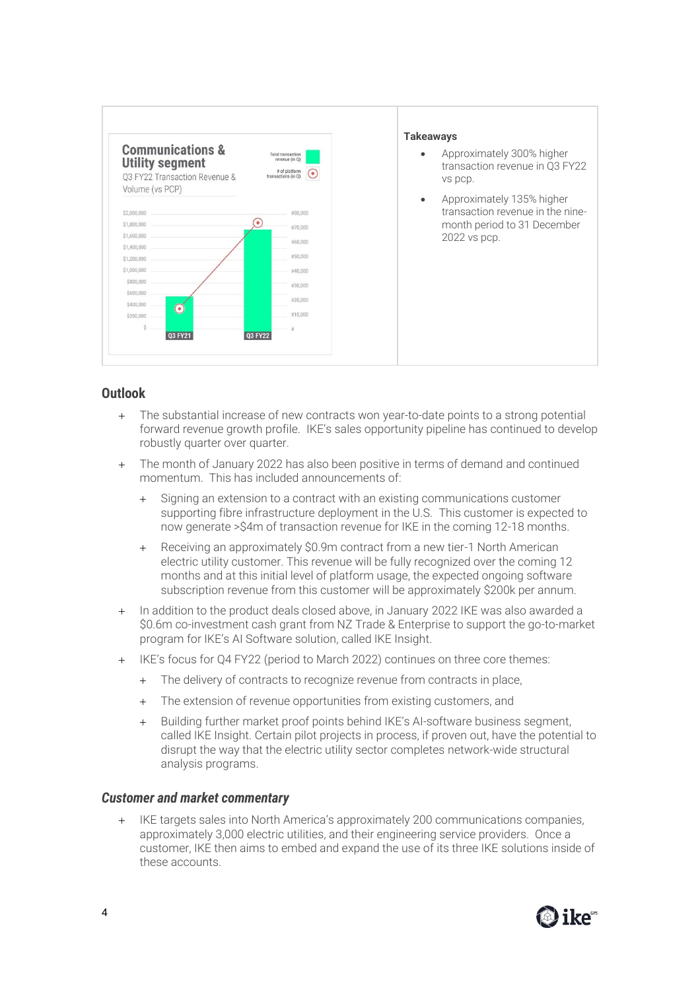

## **Outlook**

- + The substantial increase of new contracts won year-to-date points to a strong potential forward revenue growth profile. IKE's sales opportunity pipeline has continued to develop robustly quarter over quarter.
- + The month of January 2022 has also been positive in terms of demand and continued momentum. This has included announcements of:
	- + Signing an extension to a contract with an existing communications customer supporting fibre infrastructure deployment in the U.S. This customer is expected to now generate >\$4m of transaction revenue for IKE in the coming 12-18 months.
	- Receiving an approximately \$0.9m contract from a new tier-1 North American electric utility customer. This revenue will be fully recognized over the coming 12 months and at this initial level of platform usage, the expected ongoing software subscription revenue from this customer will be approximately \$200k per annum.
- + In addition to the product deals closed above, in January 2022 IKE was also awarded a \$0.6m co-investment cash grant from NZ Trade & Enterprise to support the go-to-market program for IKE's AI Software solution, called IKE Insight.
- + IKE's focus for Q4 FY22 (period to March 2022) continues on three core themes:
	- + The delivery of contracts to recognize revenue from contracts in place,
	- + The extension of revenue opportunities from existing customers, and
	- + Building further market proof points behind IKE's AI-software business segment, called IKE Insight. Certain pilot projects in process, if proven out, have the potential to disrupt the way that the electric utility sector completes network-wide structural analysis programs.

#### *Customer and market commentary*

+ IKE targets sales into North America's approximately 200 communications companies, approximately 3,000 electric utilities, and their engineering service providers. Once a customer, IKE then aims to embed and expand the use of its three IKE solutions inside of these accounts.

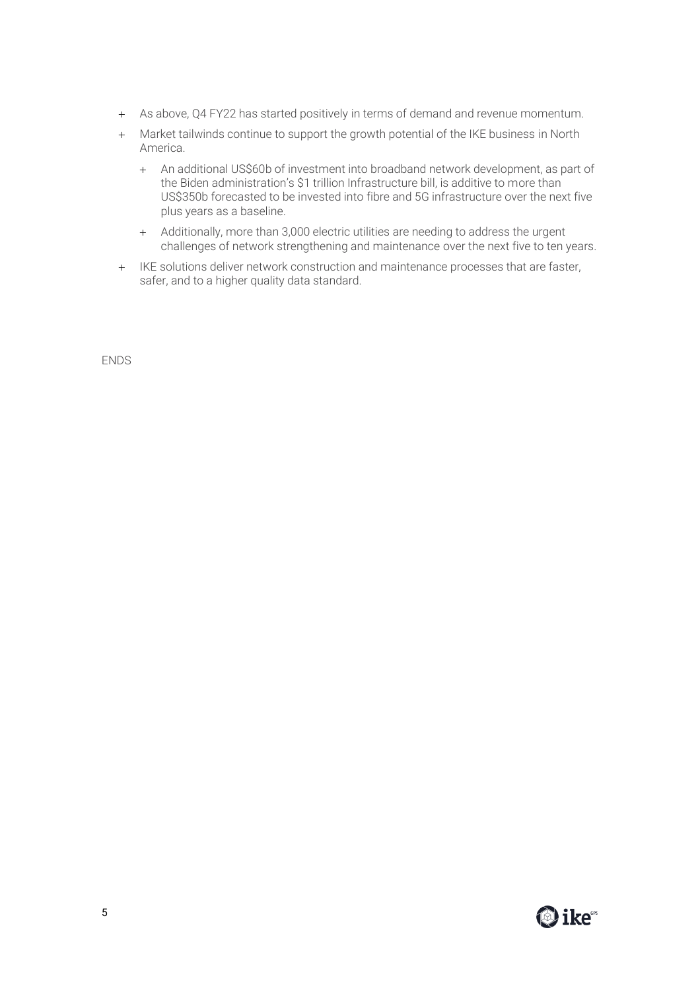- + As above, Q4 FY22 has started positively in terms of demand and revenue momentum.
- + Market tailwinds continue to support the growth potential of the IKE business in North America.
	- + An additional US\$60b of investment into broadband network development, as part of the Biden administration's \$1 trillion Infrastructure bill, is additive to more than US\$350b forecasted to be invested into fibre and 5G infrastructure over the next five plus years as a baseline.
	- + Additionally, more than 3,000 electric utilities are needing to address the urgent challenges of network strengthening and maintenance over the next five to ten years.
- + IKE solutions deliver network construction and maintenance processes that are faster, safer, and to a higher quality data standard.

ENDS